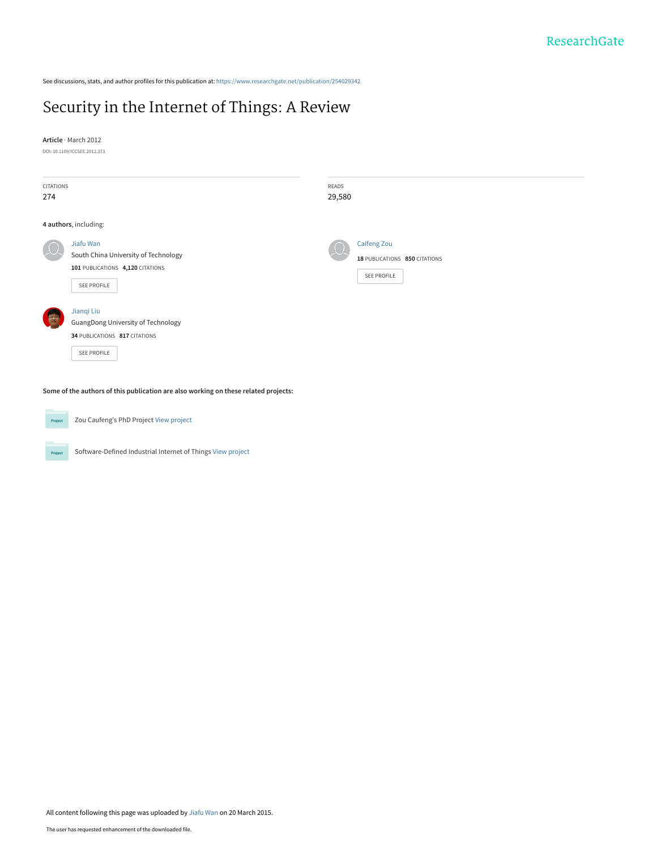See discussions, stats, and author profiles for this publication at: [https://www.researchgate.net/publication/254029342](https://www.researchgate.net/publication/254029342_Security_in_the_Internet_of_Things_A_Review?enrichId=rgreq-9bfdd65276fc2385b8b8fda54920e55f-XXX&enrichSource=Y292ZXJQYWdlOzI1NDAyOTM0MjtBUzoyMDg5Mjg3NDgxMTgwMTZAMTQyNjgyMzkwMzg4Mg%3D%3D&el=1_x_2&_esc=publicationCoverPdf)

# [Security in the Internet of Things: A Review](https://www.researchgate.net/publication/254029342_Security_in_the_Internet_of_Things_A_Review?enrichId=rgreq-9bfdd65276fc2385b8b8fda54920e55f-XXX&enrichSource=Y292ZXJQYWdlOzI1NDAyOTM0MjtBUzoyMDg5Mjg3NDgxMTgwMTZAMTQyNjgyMzkwMzg4Mg%3D%3D&el=1_x_3&_esc=publicationCoverPdf)

**Article** · March 2012

DOI: 10.1109/ICCSEE.2012.373

| CITATIONS<br>274 |                                                                                                         | READS<br>29,580                                                    |  |  |
|------------------|---------------------------------------------------------------------------------------------------------|--------------------------------------------------------------------|--|--|
|                  | 4 authors, including:                                                                                   |                                                                    |  |  |
|                  | Jiafu Wan<br>South China University of Technology<br>101 PUBLICATIONS 4,120 CITATIONS<br>SEE PROFILE    | <b>Caifeng Zou</b><br>18 PUBLICATIONS 850 CITATIONS<br>SEE PROFILE |  |  |
|                  | Jiangi Liu<br><b>GuangDong University of Technology</b><br>34 PUBLICATIONS 817 CITATIONS<br>SEE PROFILE |                                                                    |  |  |

**Some of the authors of this publication are also working on these related projects:**



Zou Caufeng's PhD Project [View project](https://www.researchgate.net/project/Zou-Caufengs-PhD-Project?enrichId=rgreq-9bfdd65276fc2385b8b8fda54920e55f-XXX&enrichSource=Y292ZXJQYWdlOzI1NDAyOTM0MjtBUzoyMDg5Mjg3NDgxMTgwMTZAMTQyNjgyMzkwMzg4Mg%3D%3D&el=1_x_9&_esc=publicationCoverPdf)

Software-Defined Industrial Internet of Things [View project](https://www.researchgate.net/project/Software-Defined-Industrial-Internet-of-Things?enrichId=rgreq-9bfdd65276fc2385b8b8fda54920e55f-XXX&enrichSource=Y292ZXJQYWdlOzI1NDAyOTM0MjtBUzoyMDg5Mjg3NDgxMTgwMTZAMTQyNjgyMzkwMzg4Mg%3D%3D&el=1_x_9&_esc=publicationCoverPdf) Project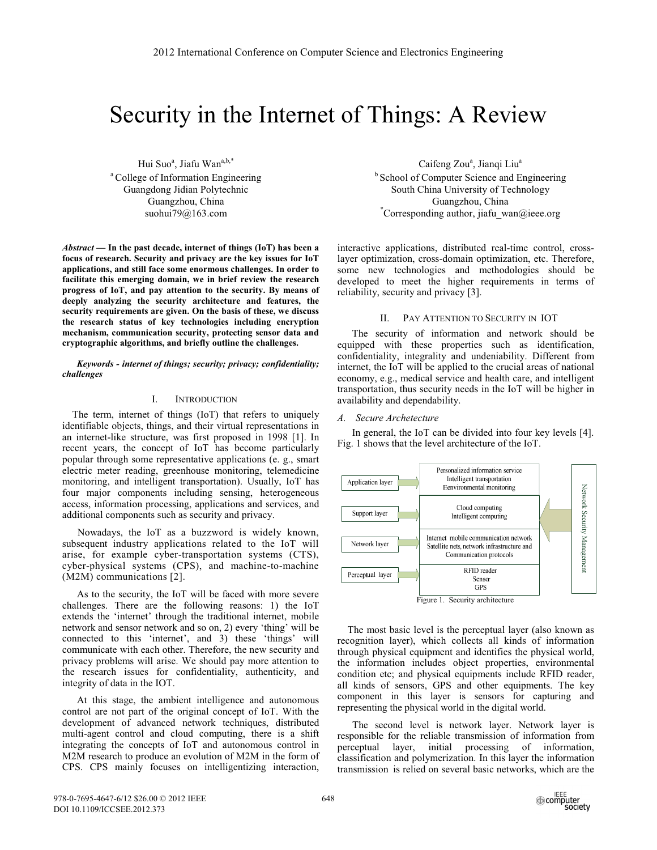# Security in the Internet of Things: A Review

Hui Suo<sup>a</sup>, Jiafu Wan<sup>a,b,\*</sup> <sup>a</sup> College of Information Engineering Guangdong Jidian Polytechnic Guangzhou, China suohui79@163.com

*Abstract* **— In the past decade, internet of things (IoT) has been a focus of research. Security and privacy are the key issues for IoT applications, and still face some enormous challenges. In order to facilitate this emerging domain, we in brief review the research progress of IoT, and pay attention to the security. By means of deeply analyzing the security architecture and features, the security requirements are given. On the basis of these, we discuss the research status of key technologies including encryption mechanism, communication security, protecting sensor data and cryptographic algorithms, and briefly outline the challenges.** 

*Keywords - internet of things; security; privacy; confidentiality; challenges* 

#### I. INTRODUCTION

 The term, internet of things (IoT) that refers to uniquely identifiable objects, things, and their virtual representations in an internet-like structure, was first proposed in 1998 [1]. In recent years, the concept of IoT has become particularly popular through some representative applications (e. g., smart electric meter reading, greenhouse monitoring, telemedicine monitoring, and intelligent transportation). Usually, IoT has four major components including sensing, heterogeneous access, information processing, applications and services, and additional components such as security and privacy.

Nowadays, the IoT as a buzzword is widely known, subsequent industry applications related to the IoT will arise, for example cyber-transportation systems (CTS), cyber-physical systems (CPS), and machine-to-machine (M2M) communications [2].

As to the security, the IoT will be faced with more severe challenges. There are the following reasons: 1) the IoT extends the 'internet' through the traditional internet, mobile network and sensor network and so on, 2) every 'thing' will be connected to this 'internet', and 3) these 'things' will communicate with each other. Therefore, the new security and privacy problems will arise. We should pay more attention to the research issues for confidentiality, authenticity, and integrity of data in the IOT.

At this stage, the ambient intelligence and autonomous control are not part of the original concept of IoT. With the development of advanced network techniques, distributed multi-agent control and cloud computing, there is a shift integrating the concepts of IoT and autonomous control in M2M research to produce an evolution of M2M in the form of CPS. CPS mainly focuses on intelligentizing interaction,

Caifeng Zou<sup>a</sup>, Jianqi Liu<sup>a</sup> **b** School of Computer Science and Engineering South China University of Technology Guangzhou, China \* Corresponding author, jiafu\_wan@ieee.org

interactive applications, distributed real-time control, crosslayer optimization, cross-domain optimization, etc. Therefore, some new technologies and methodologies should be developed to meet the higher requirements in terms of reliability, security and privacy [3].

# II. PAY ATTENTION TO SECURITY IN IOT

The security of information and network should be equipped with these properties such as identification, confidentiality, integrality and undeniability. Different from internet, the IoT will be applied to the crucial areas of national economy, e.g., medical service and health care, and intelligent transportation, thus security needs in the IoT will be higher in availability and dependability.

## *A. Secure Archetecture*

In general, the IoT can be divided into four key levels [4]. Fig. 1 shows that the level architecture of the IoT.



The most basic level is the perceptual layer (also known as recognition layer), which collects all kinds of information through physical equipment and identifies the physical world, the information includes object properties, environmental condition etc; and physical equipments include RFID reader, all kinds of sensors, GPS and other equipments. The key component in this layer is sensors for capturing and representing the physical world in the digital world.

The second level is network layer. Network layer is responsible for the reliable transmission of information from perceptual layer, initial processing of information, classification and polymerization. In this layer the information transmission is relied on several basic networks, which are the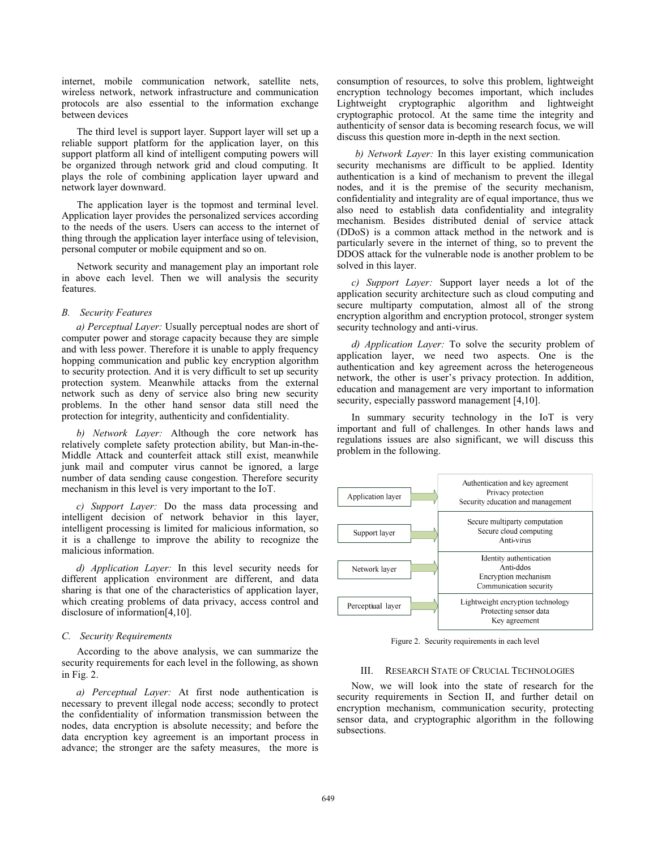internet, mobile communication network, satellite nets, wireless network, network infrastructure and communication protocols are also essential to the information exchange between devices

 The third level is support layer. Support layer will set up a reliable support platform for the application layer, on this support platform all kind of intelligent computing powers will be organized through network grid and cloud computing. It plays the role of combining application layer upward and network layer downward.

The application layer is the topmost and terminal level. Application layer provides the personalized services according to the needs of the users. Users can access to the internet of thing through the application layer interface using of television, personal computer or mobile equipment and so on.

Network security and management play an important role in above each level. Then we will analysis the security features.

# *B. Security Features*

*a) Perceptual Layer:* Usually perceptual nodes are short of computer power and storage capacity because they are simple and with less power. Therefore it is unable to apply frequency hopping communication and public key encryption algorithm to security protection. And it is very difficult to set up security protection system. Meanwhile attacks from the external network such as deny of service also bring new security problems. In the other hand sensor data still need the protection for integrity, authenticity and confidentiality.

*b) Network Layer:* Although the core network has relatively complete safety protection ability, but Man-in-the-Middle Attack and counterfeit attack still exist, meanwhile junk mail and computer virus cannot be ignored, a large number of data sending cause congestion. Therefore security mechanism in this level is very important to the IoT.

*c) Support Layer:* Do the mass data processing and intelligent decision of network behavior in this layer, intelligent processing is limited for malicious information, so it is a challenge to improve the ability to recognize the malicious information.

*d) Application Layer:* In this level security needs for different application environment are different, and data sharing is that one of the characteristics of application layer, which creating problems of data privacy, access control and disclosure of information[4,10].

#### *C. Security Requirements*

According to the above analysis, we can summarize the security requirements for each level in the following, as shown in Fig. 2.

*a) Perceptual Layer:* At first node authentication is necessary to prevent illegal node access; secondly to protect the confidentiality of information transmission between the nodes, data encryption is absolute necessity; and before the data encryption key agreement is an important process in advance; the stronger are the safety measures, the more is consumption of resources, to solve this problem, lightweight encryption technology becomes important, which includes Lightweight cryptographic algorithm and lightweight cryptographic protocol. At the same time the integrity and authenticity of sensor data is becoming research focus, we will discuss this question more in-depth in the next section.

*b) Network Layer:* In this layer existing communication security mechanisms are difficult to be applied. Identity authentication is a kind of mechanism to prevent the illegal nodes, and it is the premise of the security mechanism, confidentiality and integrality are of equal importance, thus we also need to establish data confidentiality and integrality mechanism. Besides distributed denial of service attack (DDoS) is a common attack method in the network and is particularly severe in the internet of thing, so to prevent the DDOS attack for the vulnerable node is another problem to be solved in this layer.

*c) Support Layer:* Support layer needs a lot of the application security architecture such as cloud computing and secure multiparty computation, almost all of the strong encryption algorithm and encryption protocol, stronger system security technology and anti-virus.

*d) Application Layer:* To solve the security problem of application layer, we need two aspects. One is the authentication and key agreement across the heterogeneous network, the other is user's privacy protection. In addition, education and management are very important to information security, especially password management [4,10].

In summary security technology in the IoT is very important and full of challenges. In other hands laws and regulations issues are also significant, we will discuss this problem in the following.



Figure 2. Security requirements in each level

#### III. RESEARCH STATE OF CRUCIAL TECHNOLOGIES

Now, we will look into the state of research for the security requirements in Section II, and further detail on encryption mechanism, communication security, protecting sensor data, and cryptographic algorithm in the following subsections.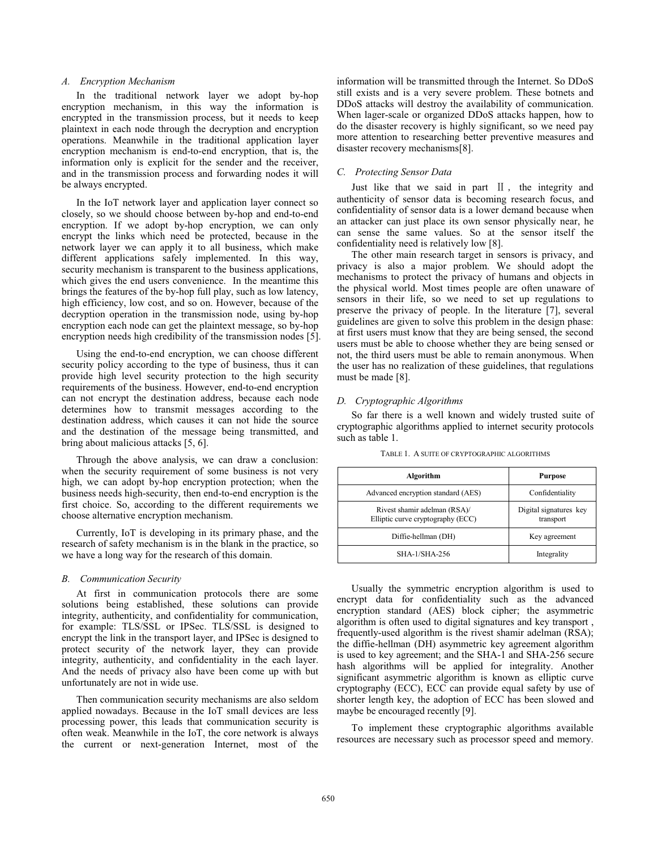## *A. Encryption Mechanism*

In the traditional network layer we adopt by-hop encryption mechanism, in this way the information is encrypted in the transmission process, but it needs to keep plaintext in each node through the decryption and encryption operations. Meanwhile in the traditional application layer encryption mechanism is end-to-end encryption, that is, the information only is explicit for the sender and the receiver, and in the transmission process and forwarding nodes it will be always encrypted.

In the IoT network layer and application layer connect so closely, so we should choose between by-hop and end-to-end encryption. If we adopt by-hop encryption, we can only encrypt the links which need be protected, because in the network layer we can apply it to all business, which make different applications safely implemented. In this way, security mechanism is transparent to the business applications, which gives the end users convenience. In the meantime this brings the features of the by-hop full play, such as low latency, high efficiency, low cost, and so on. However, because of the decryption operation in the transmission node, using by-hop encryption each node can get the plaintext message, so by-hop encryption needs high credibility of the transmission nodes [5].

Using the end-to-end encryption, we can choose different security policy according to the type of business, thus it can provide high level security protection to the high security requirements of the business. However, end-to-end encryption can not encrypt the destination address, because each node determines how to transmit messages according to the destination address, which causes it can not hide the source and the destination of the message being transmitted, and bring about malicious attacks [5, 6].

Through the above analysis, we can draw a conclusion: when the security requirement of some business is not very high, we can adopt by-hop encryption protection; when the business needs high-security, then end-to-end encryption is the first choice. So, according to the different requirements we choose alternative encryption mechanism.

Currently, IoT is developing in its primary phase, and the research of safety mechanism is in the blank in the practice, so we have a long way for the research of this domain.

# *B. Communication Security*

At first in communication protocols there are some solutions being established, these solutions can provide integrity, authenticity, and confidentiality for communication, for example: TLS/SSL or IPSec. TLS/SSL is designed to encrypt the link in the transport layer, and IPSec is designed to protect security of the network layer, they can provide integrity, authenticity, and confidentiality in the each layer. And the needs of privacy also have been come up with but unfortunately are not in wide use.

Then communication security mechanisms are also seldom applied nowadays. Because in the IoT small devices are less processing power, this leads that communication security is often weak. Meanwhile in the IoT, the core network is always the current or next-generation Internet, most of the information will be transmitted through the Internet. So DDoS still exists and is a very severe problem. These botnets and DDoS attacks will destroy the availability of communication. When lager-scale or organized DDoS attacks happen, how to do the disaster recovery is highly significant, so we need pay more attention to researching better preventive measures and disaster recovery mechanisms[8].

#### *C. Protecting Sensor Data*

Just like that we said in part II, the integrity and authenticity of sensor data is becoming research focus, and confidentiality of sensor data is a lower demand because when an attacker can just place its own sensor physically near, he can sense the same values. So at the sensor itself the confidentiality need is relatively low [8].

The other main research target in sensors is privacy, and privacy is also a major problem. We should adopt the mechanisms to protect the privacy of humans and objects in the physical world. Most times people are often unaware of sensors in their life, so we need to set up regulations to preserve the privacy of people. In the literature [7], several guidelines are given to solve this problem in the design phase: at first users must know that they are being sensed, the second users must be able to choose whether they are being sensed or not, the third users must be able to remain anonymous. When the user has no realization of these guidelines, that regulations must be made [8].

#### *D. Cryptographic Algorithms*

So far there is a well known and widely trusted suite of cryptographic algorithms applied to internet security protocols such as table 1.

| Algorithm                                                         | <b>Purpose</b>                      |
|-------------------------------------------------------------------|-------------------------------------|
| Advanced encryption standard (AES)                                | Confidentiality                     |
| Rivest shamir adelman (RSA)/<br>Elliptic curve cryptography (ECC) | Digital signatures key<br>transport |
| Diffie-hellman (DH)                                               | Key agreement                       |
| SHA-1/SHA-256                                                     | Integrality                         |

TABLE 1. A SUITE OF CRYPTOGRAPHIC ALGORITHMS

Usually the symmetric encryption algorithm is used to encrypt data for confidentiality such as the advanced encryption standard (AES) block cipher; the asymmetric algorithm is often used to digital signatures and key transport , frequently-used algorithm is the rivest shamir adelman (RSA); the diffie-hellman (DH) asymmetric key agreement algorithm is used to key agreement; and the SHA-1 and SHA-256 secure hash algorithms will be applied for integrality. Another significant asymmetric algorithm is known as elliptic curve cryptography (ECC), ECC can provide equal safety by use of shorter length key, the adoption of ECC has been slowed and maybe be encouraged recently [9].

To implement these cryptographic algorithms available resources are necessary such as processor speed and memory.